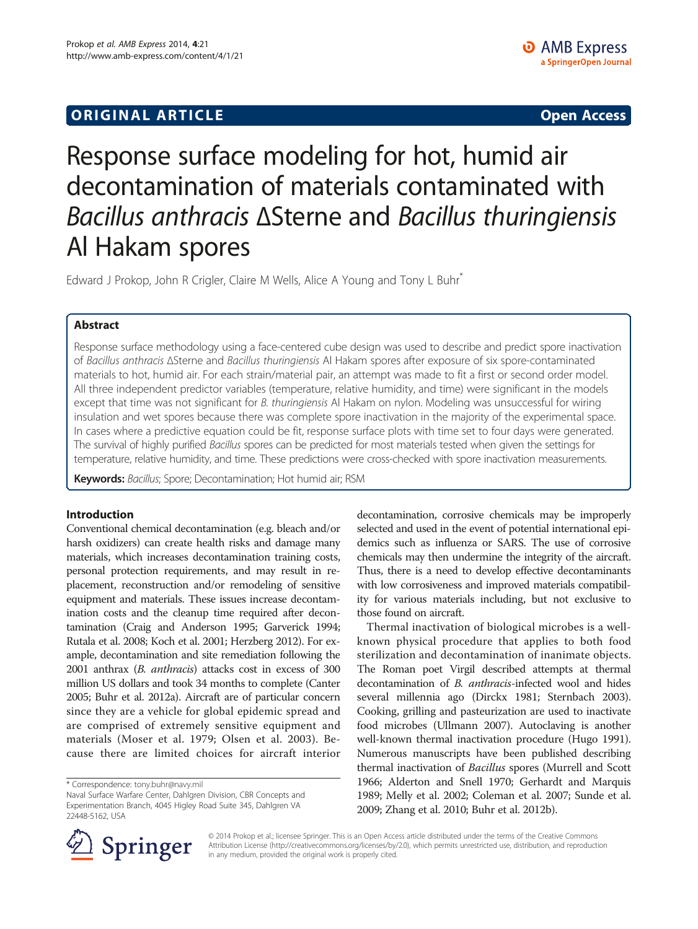## **ORIGINAL ARTICLE CONSUMING A LIGACION** CONSUMING A LIGACION CONSUMING A LIGACION CONSUMING A LIGACION CONSUMING A LIGACION CONSUMING A LIGACION CONSUMING A LIGACION CONSUMING A LIGACION CONSUMING A LIGACION CONSUMING A

# Response surface modeling for hot, humid air decontamination of materials contaminated with Bacillus anthracis <sup>Δ</sup>Sterne and Bacillus thuringiensis Al Hakam spores

Edward J Prokop, John R Crigler, Claire M Wells, Alice A Young and Tony L Buhr<sup>\*</sup>

## Abstract

Response surface methodology using a face-centered cube design was used to describe and predict spore inactivation of Bacillus anthracis <sup>Δ</sup>Sterne and Bacillus thuringiensis Al Hakam spores after exposure of six spore-contaminated materials to hot, humid air. For each strain/material pair, an attempt was made to fit a first or second order model. All three independent predictor variables (temperature, relative humidity, and time) were significant in the models except that time was not significant for B. thuringiensis Al Hakam on nylon. Modeling was unsuccessful for wiring insulation and wet spores because there was complete spore inactivation in the majority of the experimental space. In cases where a predictive equation could be fit, response surface plots with time set to four days were generated. The survival of highly purified Bacillus spores can be predicted for most materials tested when given the settings for temperature, relative humidity, and time. These predictions were cross-checked with spore inactivation measurements.

Keywords: Bacillus; Spore; Decontamination; Hot humid air; RSM

## Introduction

Conventional chemical decontamination (e.g. bleach and/or harsh oxidizers) can create health risks and damage many materials, which increases decontamination training costs, personal protection requirements, and may result in replacement, reconstruction and/or remodeling of sensitive equipment and materials. These issues increase decontamination costs and the cleanup time required after decontamination (Craig and Anderson [1995;](#page-14-0) Garverick [1994](#page-14-0); Rutala et al. [2008](#page-14-0); Koch et al. [2001;](#page-14-0) Herzberg [2012](#page-14-0)). For example, decontamination and site remediation following the 2001 anthrax (B. anthracis) attacks cost in excess of 300 million US dollars and took 34 months to complete (Canter [2005;](#page-14-0) Buhr et al. [2012a](#page-14-0)). Aircraft are of particular concern since they are a vehicle for global epidemic spread and are comprised of extremely sensitive equipment and materials (Moser et al. [1979](#page-14-0); Olsen et al. [2003](#page-14-0)). Because there are limited choices for aircraft interior

decontamination, corrosive chemicals may be improperly selected and used in the event of potential international epidemics such as influenza or SARS. The use of corrosive chemicals may then undermine the integrity of the aircraft. Thus, there is a need to develop effective decontaminants with low corrosiveness and improved materials compatibility for various materials including, but not exclusive to those found on aircraft.

Thermal inactivation of biological microbes is a wellknown physical procedure that applies to both food sterilization and decontamination of inanimate objects. The Roman poet Virgil described attempts at thermal decontamination of B. anthracis-infected wool and hides several millennia ago (Dirckx [1981;](#page-14-0) Sternbach [2003](#page-14-0)). Cooking, grilling and pasteurization are used to inactivate food microbes (Ullmann [2007](#page-14-0)). Autoclaving is another well-known thermal inactivation procedure (Hugo [1991](#page-14-0)). Numerous manuscripts have been published describing thermal inactivation of Bacillus spores (Murrell and Scott [1966](#page-14-0); Alderton and Snell [1970](#page-14-0); Gerhardt and Marquis [1989](#page-14-0); Melly et al. [2002;](#page-14-0) Coleman et al. [2007](#page-14-0); Sunde et al. [2009](#page-14-0); Zhang et al. [2010;](#page-14-0) Buhr et al. [2012b\)](#page-14-0).



© 2014 Prokop et al.; licensee Springer. This is an Open Access article distributed under the terms of the Creative Commons Attribution License [\(http://creativecommons.org/licenses/by/2.0\)](http://creativecommons.org/licenses/by/2.0), which permits unrestricted use, distribution, and reproduction in any medium, provided the original work is properly cited.

<sup>\*</sup> Correspondence: [tony.buhr@navy.mil](mailto:tony.buhr@navy.mil)

Naval Surface Warfare Center, Dahlgren Division, CBR Concepts and Experimentation Branch, 4045 Higley Road Suite 345, Dahlgren VA 22448-5162, USA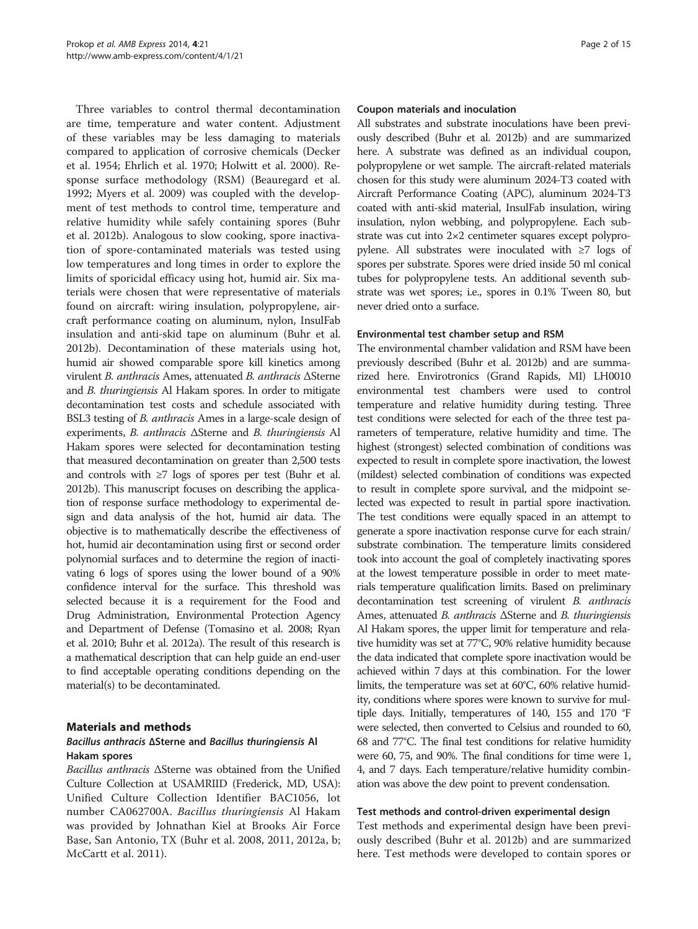Three variables to control thermal decontamination are time, temperature and water content. Adjustment of these variables may be less damaging to materials compared to application of corrosive chemicals (Decker et al. [1954](#page-14-0); Ehrlich et al. [1970](#page-14-0); Holwitt et al. [2000](#page-14-0)). Response surface methodology (RSM) (Beauregard et al. [1992](#page-14-0); Myers et al. [2009](#page-14-0)) was coupled with the development of test methods to control time, temperature and relative humidity while safely containing spores (Buhr et al. [2012b](#page-14-0)). Analogous to slow cooking, spore inactivation of spore-contaminated materials was tested using low temperatures and long times in order to explore the limits of sporicidal efficacy using hot, humid air. Six materials were chosen that were representative of materials found on aircraft: wiring insulation, polypropylene, aircraft performance coating on aluminum, nylon, InsulFab insulation and anti-skid tape on aluminum (Buhr et al. [2012b](#page-14-0)). Decontamination of these materials using hot, humid air showed comparable spore kill kinetics among virulent B. anthracis Ames, attenuated B. anthracis ΔSterne and B. thuringiensis Al Hakam spores. In order to mitigate decontamination test costs and schedule associated with BSL3 testing of B. anthracis Ames in a large-scale design of experiments, B. anthracis ΔSterne and B. thuringiensis Al Hakam spores were selected for decontamination testing that measured decontamination on greater than 2,500 tests and controls with ≥7 logs of spores per test (Buhr et al. [2012b\)](#page-14-0). This manuscript focuses on describing the application of response surface methodology to experimental design and data analysis of the hot, humid air data. The objective is to mathematically describe the effectiveness of hot, humid air decontamination using first or second order polynomial surfaces and to determine the region of inactivating 6 logs of spores using the lower bound of a 90% confidence interval for the surface. This threshold was selected because it is a requirement for the Food and Drug Administration, Environmental Protection Agency and Department of Defense (Tomasino et al. [2008;](#page-14-0) Ryan et al. [2010](#page-14-0); Buhr et al. [2012a\)](#page-14-0). The result of this research is a mathematical description that can help guide an end-user to find acceptable operating conditions depending on the material(s) to be decontaminated.

## Materials and methods

## Bacillus anthracis ΔSterne and Bacillus thuringiensis Al Hakam spores

Bacillus anthracis ΔSterne was obtained from the Unified Culture Collection at USAMRIID (Frederick, MD, USA): Unified Culture Collection Identifier BAC1056, lot number CA062700A. Bacillus thuringiensis Al Hakam was provided by Johnathan Kiel at Brooks Air Force Base, San Antonio, TX (Buhr et al. [2008](#page-14-0), [2011](#page-14-0), [2012a](#page-14-0), [b](#page-14-0); McCartt et al. [2011\)](#page-14-0).

#### Coupon materials and inoculation

All substrates and substrate inoculations have been previously described (Buhr et al. [2012b](#page-14-0)) and are summarized here. A substrate was defined as an individual coupon, polypropylene or wet sample. The aircraft-related materials chosen for this study were aluminum 2024-T3 coated with Aircraft Performance Coating (APC), aluminum 2024-T3 coated with anti-skid material, InsulFab insulation, wiring insulation, nylon webbing, and polypropylene. Each substrate was cut into 2×2 centimeter squares except polypropylene. All substrates were inoculated with ≥7 logs of spores per substrate. Spores were dried inside 50 ml conical tubes for polypropylene tests. An additional seventh substrate was wet spores; i.e., spores in 0.1% Tween 80, but never dried onto a surface.

#### Environmental test chamber setup and RSM

The environmental chamber validation and RSM have been previously described (Buhr et al. [2012b](#page-14-0)) and are summarized here. Envirotronics (Grand Rapids, MI) LH0010 environmental test chambers were used to control temperature and relative humidity during testing. Three test conditions were selected for each of the three test parameters of temperature, relative humidity and time. The highest (strongest) selected combination of conditions was expected to result in complete spore inactivation, the lowest (mildest) selected combination of conditions was expected to result in complete spore survival, and the midpoint selected was expected to result in partial spore inactivation. The test conditions were equally spaced in an attempt to generate a spore inactivation response curve for each strain/ substrate combination. The temperature limits considered took into account the goal of completely inactivating spores at the lowest temperature possible in order to meet materials temperature qualification limits. Based on preliminary decontamination test screening of virulent B. anthracis Ames, attenuated B. anthracis ΔSterne and B. thuringiensis Al Hakam spores, the upper limit for temperature and relative humidity was set at 77°C, 90% relative humidity because the data indicated that complete spore inactivation would be achieved within 7 days at this combination. For the lower limits, the temperature was set at 60°C, 60% relative humidity, conditions where spores were known to survive for multiple days. Initially, temperatures of 140, 155 and 170 °F were selected, then converted to Celsius and rounded to 60, 68 and 77°C. The final test conditions for relative humidity were 60, 75, and 90%. The final conditions for time were 1, 4, and 7 days. Each temperature/relative humidity combination was above the dew point to prevent condensation.

#### Test methods and control-driven experimental design

Test methods and experimental design have been previously described (Buhr et al. [2012b](#page-14-0)) and are summarized here. Test methods were developed to contain spores or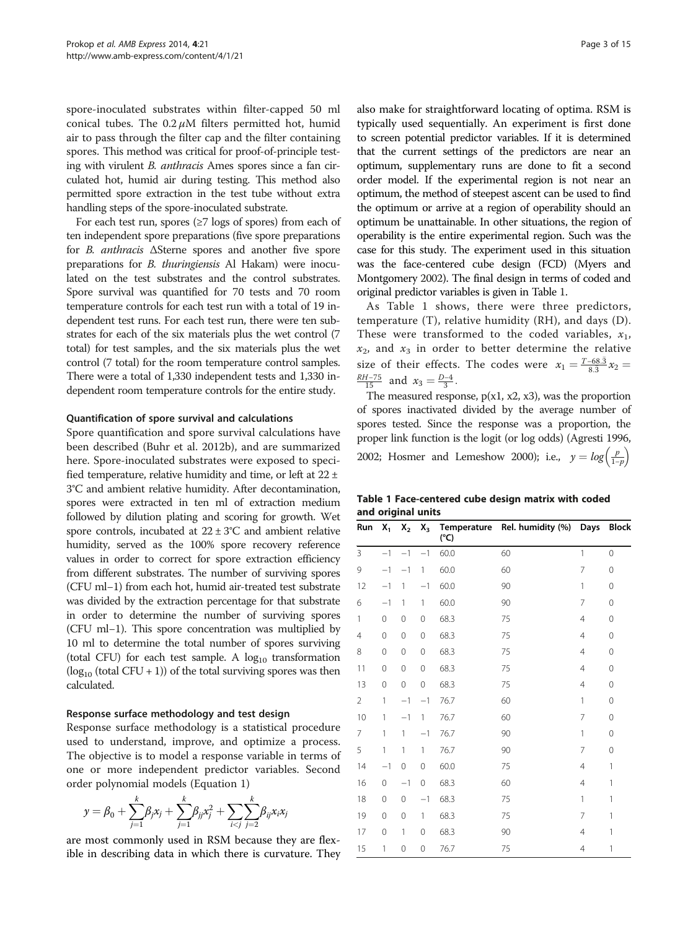<span id="page-2-0"></span>spore-inoculated substrates within filter-capped 50 ml conical tubes. The  $0.2 \mu M$  filters permitted hot, humid air to pass through the filter cap and the filter containing spores. This method was critical for proof-of-principle testing with virulent B. anthracis Ames spores since a fan circulated hot, humid air during testing. This method also permitted spore extraction in the test tube without extra handling steps of the spore-inoculated substrate.

For each test run, spores ( $\geq$ 7 logs of spores) from each of ten independent spore preparations (five spore preparations for B. anthracis ΔSterne spores and another five spore preparations for B. thuringiensis Al Hakam) were inoculated on the test substrates and the control substrates. Spore survival was quantified for 70 tests and 70 room temperature controls for each test run with a total of 19 independent test runs. For each test run, there were ten substrates for each of the six materials plus the wet control (7 total) for test samples, and the six materials plus the wet control (7 total) for the room temperature control samples. There were a total of 1,330 independent tests and 1,330 independent room temperature controls for the entire study.

#### Quantification of spore survival and calculations

Spore quantification and spore survival calculations have been described (Buhr et al. [2012b](#page-14-0)), and are summarized here. Spore-inoculated substrates were exposed to specified temperature, relative humidity and time, or left at 22 ± 3°C and ambient relative humidity. After decontamination, spores were extracted in ten ml of extraction medium followed by dilution plating and scoring for growth. Wet spore controls, incubated at  $22 \pm 3^{\circ}$ C and ambient relative humidity, served as the 100% spore recovery reference values in order to correct for spore extraction efficiency from different substrates. The number of surviving spores (CFU ml−1) from each hot, humid air-treated test substrate was divided by the extraction percentage for that substrate in order to determine the number of surviving spores (CFU ml−1). This spore concentration was multiplied by 10 ml to determine the total number of spores surviving (total CFU) for each test sample. A  $log_{10}$  transformation  $(log_{10} (total CFU + 1))$  of the total surviving spores was then calculated.

#### Response surface methodology and test design

Response surface methodology is a statistical procedure used to understand, improve, and optimize a process. The objective is to model a response variable in terms of one or more independent predictor variables. Second order polynomial models (Equation 1)

$$
y = \beta_0 + \sum_{j=1}^k \beta_j x_j + \sum_{j=1}^k \beta_{jj} x_j^2 + \sum_{i < j} \sum_{j=2}^k \beta_{ij} x_i x_j
$$

are most commonly used in RSM because they are flexible in describing data in which there is curvature. They also make for straightforward locating of optima. RSM is typically used sequentially. An experiment is first done to screen potential predictor variables. If it is determined that the current settings of the predictors are near an optimum, supplementary runs are done to fit a second order model. If the experimental region is not near an optimum, the method of steepest ascent can be used to find the optimum or arrive at a region of operability should an optimum be unattainable. In other situations, the region of operability is the entire experimental region. Such was the case for this study. The experiment used in this situation was the face-centered cube design (FCD) (Myers and Montgomery [2002\)](#page-14-0). The final design in terms of coded and original predictor variables is given in Table 1.

As Table 1 shows, there were three predictors, temperature (T), relative humidity (RH), and days (D). These were transformed to the coded variables,  $x_1$ ,  $x_2$ , and  $x_3$  in order to better determine the relative size of their effects. The codes were  $x_1 = \frac{T - 68.3}{8.3} x_2 =$  $\frac{RH-75}{15}$  and  $x_3 = \frac{D-4}{3}$ .

The measured response,  $p(x1, x2, x3)$ , was the proportion of spores inactivated divided by the average number of spores tested. Since the response was a proportion, the proper link function is the logit (or log odds) (Agresti [1996](#page-14-0), [2002;](#page-14-0) Hosmer and Lemeshow [2000](#page-14-0)); i.e.,  $y = log\left(\frac{p}{1-p}\right)$ 

Table 1 Face-centered cube design matrix with coded and original units

| Run            | $X_1$       | $X_2$       | $X_3$        | (°C) | Temperature Rel. humidity (%) Days |                | <b>Block</b>   |
|----------------|-------------|-------------|--------------|------|------------------------------------|----------------|----------------|
| 3              | $-1$        | $-1$        | $-1$         | 60.0 | 60                                 | 1              | $\overline{0}$ |
| 9              | $-1$        | $-1$        | 1            | 60.0 | 60                                 | 7              | $\mathbf{0}$   |
| 12             | $-1$        | 1           | $-1$         | 60.0 | 90                                 | 1              | $\mathbf{0}$   |
| 6              | $-1$        | 1           | 1            | 60.0 | 90                                 | $\overline{7}$ | $\mathbf 0$    |
| 1              | $\mathbf 0$ | 0           | $\mathbf 0$  | 68.3 | 75                                 | $\overline{4}$ | $\mathbf 0$    |
| 4              | $\mathbf 0$ | $\mathbf 0$ | $\mathbf 0$  | 68.3 | 75                                 | $\overline{4}$ | $\mathbf 0$    |
| 8              | $\mathbf 0$ | 0           | $\mathbf 0$  | 68.3 | 75                                 | $\overline{4}$ | $\mathbf 0$    |
| 11             | 0           | 0           | $\mathbf 0$  | 68.3 | 75                                 | $\overline{4}$ | $\mathbf 0$    |
| 13             | $\mathbf 0$ | 0           | $\mathbf 0$  | 68.3 | 75                                 | $\overline{4}$ | 0              |
| $\overline{2}$ | 1           | $-1$        | $-1$         | 76.7 | 60                                 | 1              | $\mathbf{0}$   |
| 10             | 1           | $-1$        | $\mathbf{1}$ | 76.7 | 60                                 | $\overline{7}$ | $\mathbf 0$    |
| 7              | 1           | 1           | $-1$         | 76.7 | 90                                 | 1              | $\mathbf 0$    |
| 5              | 1           | 1           | 1            | 76.7 | 90                                 | 7              | $\mathbf 0$    |
| 14             | $-1$        | 0           | $\mathbf 0$  | 60.0 | 75                                 | $\overline{4}$ | 1              |
| 16             | 0           | $-1$        | $\mathbf 0$  | 68.3 | 60                                 | 4              | 1              |
| 18             | $\mathbf 0$ | $\mathbf 0$ | $-1$         | 68.3 | 75                                 | 1              | 1              |
| 19             | $\mathbf 0$ | 0           | 1            | 68.3 | 75                                 | 7              | 1              |
| 17             | $\mathbf 0$ | 1           | $\mathbf 0$  | 68.3 | 90                                 | $\overline{4}$ | 1              |
| 15             | 1           | 0           | 0            | 76.7 | 75                                 | $\overline{4}$ | 1              |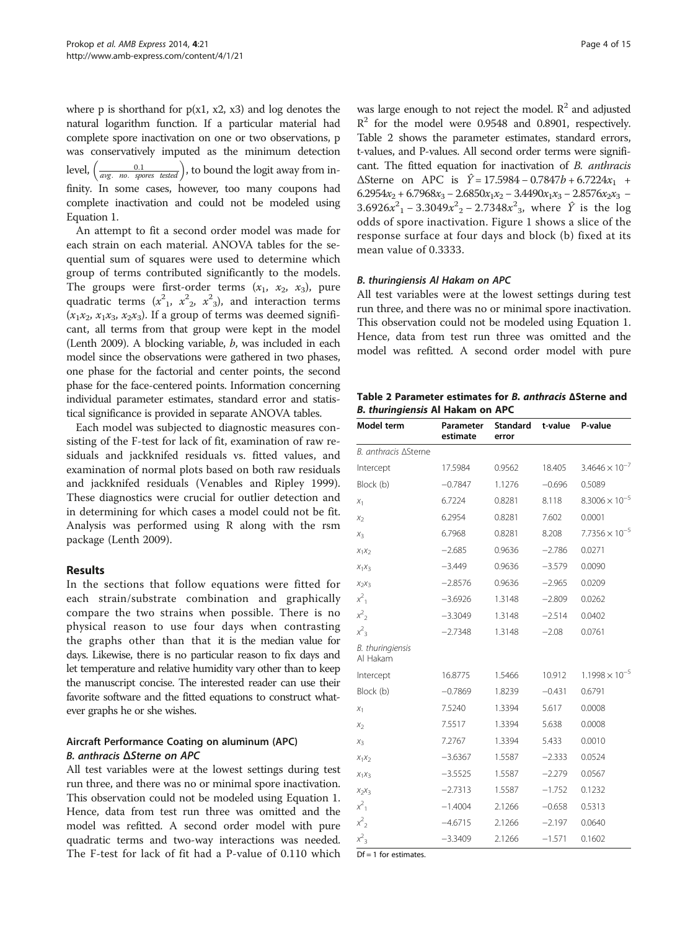<span id="page-3-0"></span>where p is shorthand for  $p(x1, x2, x3)$  and log denotes the natural logarithm function. If a particular material had complete spore inactivation on one or two observations, p was conservatively imputed as the minimum detection level,  $\left(\frac{0.1}{\text{avg. no. spores tested}}\right)$ , to bound the logit away from infinity. In some cases, however, too many coupons had complete inactivation and could not be modeled using Equation [1](#page-2-0).

An attempt to fit a second order model was made for each strain on each material. ANOVA tables for the sequential sum of squares were used to determine which group of terms contributed significantly to the models. The groups were first-order terms  $(x_1, x_2, x_3)$ , pure quadratic terms  $(x_1^2, x_2^2, x_3^2)$ , and interaction terms  $(x_1x_2, x_1x_3, x_2x_3)$ . If a group of terms was deemed significant, all terms from that group were kept in the model (Lenth [2009\)](#page-14-0). A blocking variable, b, was included in each model since the observations were gathered in two phases, one phase for the factorial and center points, the second phase for the face-centered points. Information concerning individual parameter estimates, standard error and statistical significance is provided in separate ANOVA tables.

Each model was subjected to diagnostic measures consisting of the F-test for lack of fit, examination of raw residuals and jackknifed residuals vs. fitted values, and examination of normal plots based on both raw residuals and jackknifed residuals (Venables and Ripley [1999](#page-14-0)). These diagnostics were crucial for outlier detection and in determining for which cases a model could not be fit. Analysis was performed using R along with the rsm package (Lenth [2009\)](#page-14-0).

## Results

In the sections that follow equations were fitted for each strain/substrate combination and graphically compare the two strains when possible. There is no physical reason to use four days when contrasting the graphs other than that it is the median value for days. Likewise, there is no particular reason to fix days and let temperature and relative humidity vary other than to keep the manuscript concise. The interested reader can use their favorite software and the fitted equations to construct whatever graphs he or she wishes.

## Aircraft Performance Coating on aluminum (APC) B. anthracis ΔSterne on APC

All test variables were at the lowest settings during test run three, and there was no or minimal spore inactivation. This observation could not be modeled using Equation [1](#page-2-0). Hence, data from test run three was omitted and the model was refitted. A second order model with pure quadratic terms and two-way interactions was needed. The F-test for lack of fit had a P-value of 0.110 which

was large enough to not reject the model.  $R^2$  and adjusted  $R^2$  for the model were 0.9548 and 0.8901, respectively. Table 2 shows the parameter estimates, standard errors, t-values, and P-values. All second order terms were significant. The fitted equation for inactivation of B. anthracis  $\Delta$ Sterne on APC is  $\hat{Y} = 17.5984 - 0.7847b + 6.7224x_1 +$  $6.2954x_2 + 6.7968x_3 - 2.6850x_1x_2 - 3.4490x_1x_3 - 2.8576x_2x_3$  $3.6926x^{2}$ <sub>1</sub> –  $3.3049x^{2}$ <sub>2</sub> –  $2.7348x^{2}$ <sub>3</sub>, where  $\hat{Y}$  is the log odds of spore inactivation. Figure [1](#page-4-0) shows a slice of the response surface at four days and block (b) fixed at its mean value of 0.3333.

#### B. thuringiensis Al Hakam on APC

All test variables were at the lowest settings during test run three, and there was no or minimal spore inactivation. This observation could not be modeled using Equation [1](#page-2-0). Hence, data from test run three was omitted and the model was refitted. A second order model with pure

Table 2 Parameter estimates for B. anthracis <sup>Δ</sup>Sterne and B. thuringiensis Al Hakam on APC

| Model term                   | Parameter<br>estimate | <b>Standard</b><br>error | t-value  | P-value                 |
|------------------------------|-----------------------|--------------------------|----------|-------------------------|
| B. anthracis ASterne         |                       |                          |          |                         |
| Intercept                    | 17.5984               | 0.9562                   | 18.405   | $3.4646 \times 10^{-7}$ |
| Block (b)                    | $-0.7847$             | 1.1276                   | $-0.696$ | 0.5089                  |
| $X_1$                        | 6.7224                | 0.8281                   | 8.118    | $8.3006 \times 10^{-5}$ |
| $x_2$                        | 6.2954                | 0.8281                   | 7.602    | 0.0001                  |
| $X_3$                        | 6.7968                | 0.8281                   | 8.208    | $7.7356 \times 10^{-5}$ |
| $X_1X_2$                     | $-2.685$              | 0.9636                   | $-2.786$ | 0.0271                  |
| $X_1X_3$                     | $-3.449$              | 0.9636                   | $-3.579$ | 0.0090                  |
| $X_2X_3$                     | $-2.8576$             | 0.9636                   | $-2.965$ | 0.0209                  |
| $x^2$ <sub>1</sub>           | $-3.6926$             | 1.3148                   | $-2.809$ | 0.0262                  |
| $x^2$ <sub>2</sub>           | $-3.3049$             | 1.3148                   | $-2.514$ | 0.0402                  |
| $x^2$ <sub>3</sub>           | $-2.7348$             | 1.3148                   | $-2.08$  | 0.0761                  |
| B. thuringiensis<br>Al Hakam |                       |                          |          |                         |
| Intercept                    | 16.8775               | 1.5466                   | 10.912   | $1.1998 \times 10^{-5}$ |
| Block (b)                    | $-0.7869$             | 1.8239                   | $-0.431$ | 0.6791                  |
| $X_1$                        | 7.5240                | 1.3394                   | 5.617    | 0.0008                  |
| $X_2$                        | 7.5517                | 1.3394                   | 5.638    | 0.0008                  |
| $X_3$                        | 7.2767                | 1.3394                   | 5.433    | 0.0010                  |
| $X_1X_2$                     | $-3.6367$             | 1.5587                   | $-2.333$ | 0.0524                  |
| $X_1X_3$                     | $-3.5525$             | 1.5587                   | $-2.279$ | 0.0567                  |
| $X_2X_3$                     | $-2.7313$             | 1.5587                   | $-1.752$ | 0.1232                  |
| $x^2$ <sub>1</sub>           | $-1.4004$             | 2.1266                   | $-0.658$ | 0.5313                  |
| $x^2$                        | $-4.6715$             | 2.1266                   | $-2.197$ | 0.0640                  |
| $x^2$ <sub>3</sub>           | $-3.3409$             | 2.1266                   | $-1.571$ | 0.1602                  |

 $\overline{Df} = 1$  for estimates.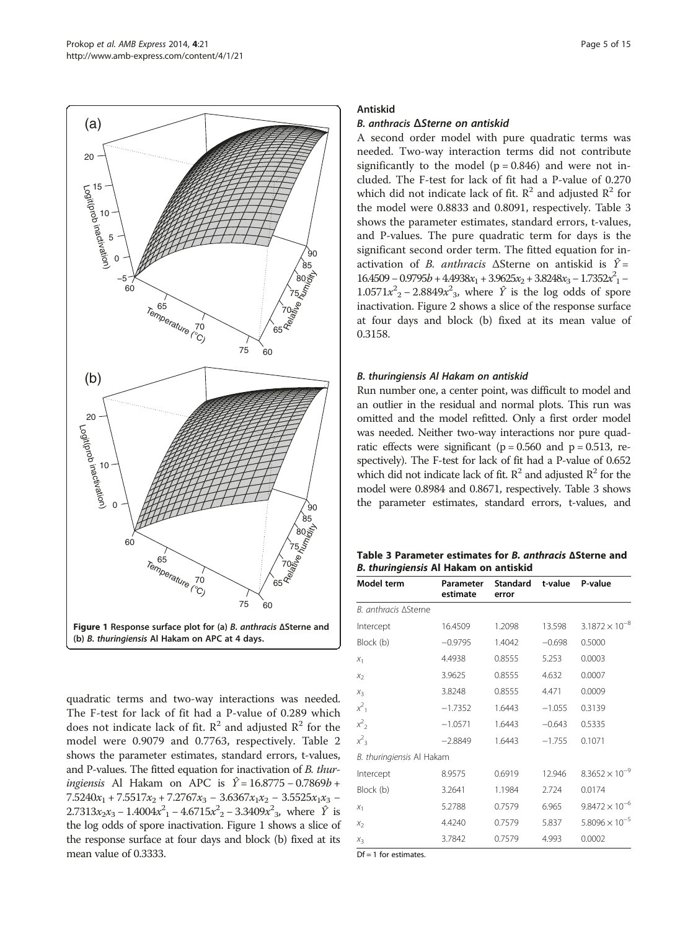<span id="page-4-0"></span>

quadratic terms and two-way interactions was needed. The F-test for lack of fit had a P-value of 0.289 which does not indicate lack of fit.  $R^2$  and adjusted  $R^2$  for the model were 0.9079 and 0.7763, respectively. Table [2](#page-3-0) shows the parameter estimates, standard errors, t-values, and P-values. The fitted equation for inactivation of B. thuringiensis Al Hakam on APC is  $\hat{Y} = 16.8775 - 0.7869b +$  $7.5240x_1 + 7.5517x_2 + 7.2767x_3 - 3.6367x_1x_2 - 3.5525x_1x_3 2.7313x_2x_3 - 1.4004x_1^2 - 4.6715x_2^2 - 3.3409x_3^2$ , where  $\hat{Y}$  is the log odds of spore inactivation. Figure 1 shows a slice of the response surface at four days and block (b) fixed at its mean value of 0.3333.

## Antiskid

## B. anthracis ΔSterne on antiskid

A second order model with pure quadratic terms was needed. Two-way interaction terms did not contribute significantly to the model  $(p = 0.846)$  and were not included. The F-test for lack of fit had a P-value of 0.270 which did not indicate lack of fit.  $R^2$  and adjusted  $R^2$  for the model were 0.8833 and 0.8091, respectively. Table 3 shows the parameter estimates, standard errors, t-values, and P-values. The pure quadratic term for days is the significant second order term. The fitted equation for inactivation of *B. anthracis*  $\Delta$ Sterne on antiskid is  $\hat{Y} =$  $16.4509 - 0.9795b + 4.4938x_1 + 3.9625x_2 + 3.8248x_3 - 1.7352x_1^2$  $1.0571x<sup>2</sup>$ <sub>2</sub> – 2.8849x<sup>2</sup><sub>3</sub>, where  $\hat{Y}$  is the log odds of spore inactivation. Figure [2](#page-5-0) shows a slice of the response surface at four days and block (b) fixed at its mean value of 0.3158.

#### B. thuringiensis Al Hakam on antiskid

Run number one, a center point, was difficult to model and an outlier in the residual and normal plots. This run was omitted and the model refitted. Only a first order model was needed. Neither two-way interactions nor pure quadratic effects were significant ( $p = 0.560$  and  $p = 0.513$ , respectively). The F-test for lack of fit had a P-value of 0.652 which did not indicate lack of fit.  $\mathbb{R}^2$  and adjusted  $\mathbb{R}^2$  for the model were 0.8984 and 0.8671, respectively. Table 3 shows the parameter estimates, standard errors, t-values, and

Table 3 Parameter estimates for B. anthracis <sup>Δ</sup>Sterne and B. thuringiensis Al Hakam on antiskid

| Model term                | Parameter<br>estimate | <b>Standard</b><br>error | t-value  | P-value                 |
|---------------------------|-----------------------|--------------------------|----------|-------------------------|
| B. anthracis ASterne      |                       |                          |          |                         |
| Intercept                 | 16.4509               | 1.2098                   | 13.598   | $3.1872 \times 10^{-8}$ |
| Block (b)                 | $-0.9795$             | 1.4042                   | $-0.698$ | 0.5000                  |
| $X_1$                     | 4.4938                | 0.8555                   | 5.253    | 0.0003                  |
| X <sub>2</sub>            | 3.9625                | 0.8555                   | 4.632    | 0.0007                  |
| $X_3$                     | 3.8248                | 0.8555                   | 4.471    | 0.0009                  |
| $x^2$ <sub>1</sub>        | $-1.7352$             | 1.6443                   | $-1.055$ | 0.3139                  |
| $x^2$ <sub>2</sub>        | $-1.0571$             | 1.6443                   | $-0.643$ | 0.5335                  |
| $x^2$ <sub>3</sub>        | $-2.8849$             | 1.6443                   | $-1.755$ | 0.1071                  |
| B. thuringiensis Al Hakam |                       |                          |          |                         |
| Intercept                 | 8.9575                | 0.6919                   | 12.946   | $8.3652 \times 10^{-9}$ |
| Block (b)                 | 3.2641                | 1.1984                   | 2.724    | 0.0174                  |
| $X_1$                     | 5.2788                | 0.7579                   | 6.965    | $9.8472 \times 10^{-6}$ |
| $X_2$                     | 4.4240                | 0.7579                   | 5.837    | $5.8096 \times 10^{-5}$ |
| $X_3$                     | 3.7842                | 0.7579                   | 4.993    | 0.0002                  |

 $Df = 1$  for estimates.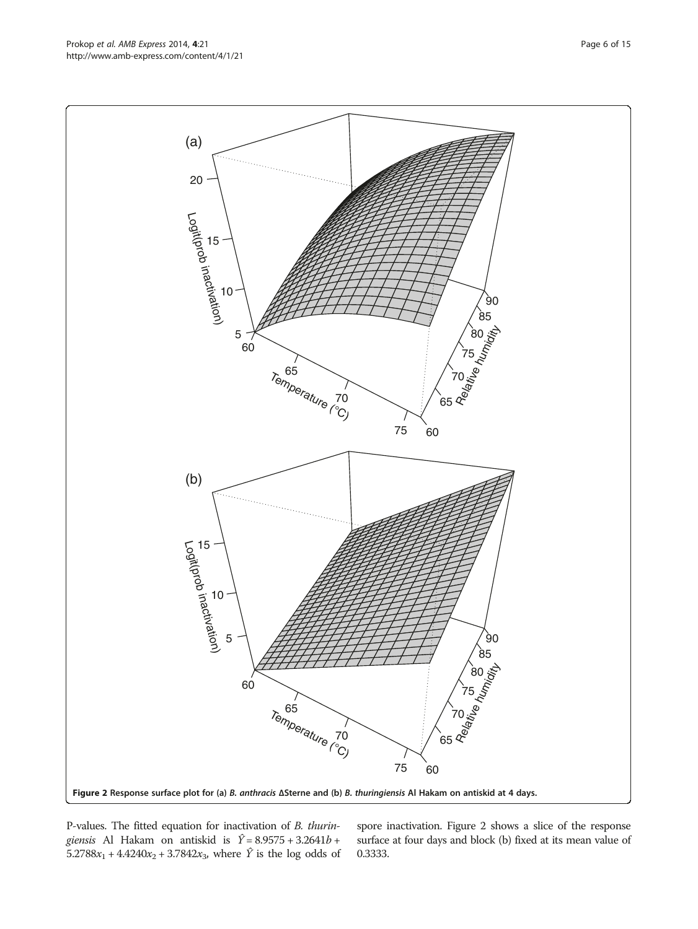P-values. The fitted equation for inactivation of B. thuringiensis Al Hakam on antiskid is  $\hat{Y} = 8.9575 + 3.2641b +$  $5.2788x_1 + 4.4240x_2 + 3.7842x_3$ , where  $\hat{Y}$  is the log odds of spore inactivation. Figure 2 shows a slice of the response surface at four days and block (b) fixed at its mean value of 0.3333.

<span id="page-5-0"></span>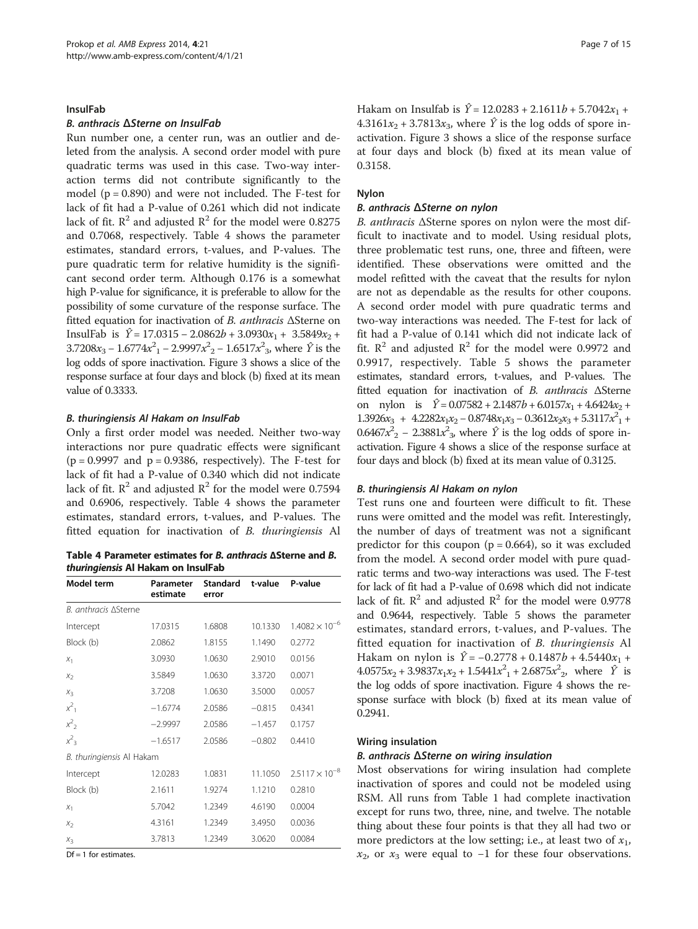#### InsulFab

#### B. anthracis ΔSterne on InsulFab

Run number one, a center run, was an outlier and deleted from the analysis. A second order model with pure quadratic terms was used in this case. Two-way interaction terms did not contribute significantly to the model  $(p = 0.890)$  and were not included. The F-test for lack of fit had a P-value of 0.261 which did not indicate lack of fit.  $\mathbb{R}^2$  and adjusted  $\mathbb{R}^2$  for the model were 0.8275 and 0.7068, respectively. Table 4 shows the parameter estimates, standard errors, t-values, and P-values. The pure quadratic term for relative humidity is the significant second order term. Although 0.176 is a somewhat high P-value for significance, it is preferable to allow for the possibility of some curvature of the response surface. The fitted equation for inactivation of B. anthracis ΔSterne on InsulFab is  $\hat{Y} = 17.0315 - 2.0862b + 3.0930x_1 + 3.5849x_2 +$ 3.7208 $x_3 - 1.6774x_1^2 - 2.9997x_2^2 - 1.6517x_3^2$ , where  $\hat{Y}$  is the log odds of spore inactivation. Figure [3](#page-7-0) shows a slice of the response surface at four days and block (b) fixed at its mean value of 0.3333.

#### B. thuringiensis Al Hakam on InsulFab

Only a first order model was needed. Neither two-way interactions nor pure quadratic effects were significant  $(p = 0.9997$  and  $p = 0.9386$ , respectively). The F-test for lack of fit had a P-value of 0.340 which did not indicate lack of fit.  $\mathbb{R}^2$  and adjusted  $\mathbb{R}^2$  for the model were 0.7594 and 0.6906, respectively. Table 4 shows the parameter estimates, standard errors, t-values, and P-values. The fitted equation for inactivation of B. thuringiensis Al

Table 4 Parameter estimates for B. anthracis <sup>Δ</sup>Sterne and B. thuringiensis Al Hakam on InsulFab

| Model term                | Parameter<br>estimate | Standard<br>error | t-value  | P-value                 |  |
|---------------------------|-----------------------|-------------------|----------|-------------------------|--|
| B. anthracis ASterne      |                       |                   |          |                         |  |
| Intercept                 | 17.0315               | 1.6808            | 10.1330  | $1.4082 \times 10^{-6}$ |  |
| Block (b)                 | 2.0862                | 1.8155            | 1.1490   | 0.2772                  |  |
| X <sub>1</sub>            | 3.0930                | 1.0630            | 2.9010   | 0.0156                  |  |
| X <sub>2</sub>            | 3.5849                | 1.0630            | 3.3720   | 0.0071                  |  |
| $X_3$                     | 3.7208                | 1.0630            | 3.5000   | 0.0057                  |  |
| $x^2$ <sub>1</sub>        | $-1.6774$             | 2.0586            | $-0.815$ | 0.4341                  |  |
| $x^2$ <sub>2</sub>        | $-2.9997$             | 2.0586            | $-1.457$ | 0.1757                  |  |
| $x^2$ <sub>3</sub>        | $-1.6517$             | 2.0586            | $-0.802$ | 0.4410                  |  |
| B. thuringiensis Al Hakam |                       |                   |          |                         |  |
| Intercept                 | 12.0283               | 1.0831            | 11.1050  | $2.5117 \times 10^{-8}$ |  |
| Block (b)                 | 2.1611                | 1.9274            | 1.1210   | 0.2810                  |  |
| $X_1$                     | 5.7042                | 1.2349            | 4.6190   | 0.0004                  |  |
| $X_{2}$                   | 4.3161                | 1.2349            | 3.4950   | 0.0036                  |  |
| $X_3$                     | 3.7813                | 1.2349            | 3.0620   | 0.0084                  |  |

 $Df = 1$  for estimates.

Hakam on Insulfab is  $\hat{Y} = 12.0283 + 2.1611b + 5.7042x_1 +$  $4.3161x_2 + 3.7813x_3$ , where  $\hat{Y}$  is the log odds of spore inactivation. Figure [3](#page-7-0) shows a slice of the response surface at four days and block (b) fixed at its mean value of 0.3158.

#### Nylon

#### B. anthracis ΔSterne on nylon

B. anthracis ΔSterne spores on nylon were the most difficult to inactivate and to model. Using residual plots, three problematic test runs, one, three and fifteen, were identified. These observations were omitted and the model refitted with the caveat that the results for nylon are not as dependable as the results for other coupons. A second order model with pure quadratic terms and two-way interactions was needed. The F-test for lack of fit had a P-value of 0.141 which did not indicate lack of fit.  $R^2$  and adjusted  $R^2$  for the model were 0.9972 and 0.9917, respectively. Table [5](#page-8-0) shows the parameter estimates, standard errors, t-values, and P-values. The fitted equation for inactivation of B. anthracis ΔSterne on nylon is  $\hat{Y} = 0.07582 + 2.1487b + 6.0157x_1 + 4.6424x_2 +$  $1.3926x_3 + 4.2282x_1x_2 - 0.8748x_1x_3 - 0.3612x_2x_3 + 5.3117x_1^2 +$  $0.6467x<sup>2</sup><sub>2</sub> - 2.3881x<sup>2</sup><sub>3</sub>$ , where  $\hat{Y}$  is the log odds of spore inactivation. Figure [4](#page-9-0) shows a slice of the response surface at four days and block (b) fixed at its mean value of 0.3125.

#### B. thuringiensis Al Hakam on nylon

Test runs one and fourteen were difficult to fit. These runs were omitted and the model was refit. Interestingly, the number of days of treatment was not a significant predictor for this coupon  $(p = 0.664)$ , so it was excluded from the model. A second order model with pure quadratic terms and two-way interactions was used. The F-test for lack of fit had a P-value of 0.698 which did not indicate lack of fit.  $\mathbb{R}^2$  and adjusted  $\mathbb{R}^2$  for the model were 0.9778 and 0.9644, respectively. Table [5](#page-8-0) shows the parameter estimates, standard errors, t-values, and P-values. The fitted equation for inactivation of B. thuringiensis Al Hakam on nylon is  $\hat{Y} = -0.2778 + 0.1487b + 4.5440x_1 +$  $4.0575x_2 + 3.9837x_1x_2 + 1.5441x_1^2 + 2.6875x_2^2$ , where  $\hat{Y}$  is the log odds of spore inactivation. Figure [4](#page-9-0) shows the response surface with block (b) fixed at its mean value of 0.2941.

#### Wiring insulation

#### B. anthracis ΔSterne on wiring insulation

Most observations for wiring insulation had complete inactivation of spores and could not be modeled using RSM. All runs from Table [1](#page-2-0) had complete inactivation except for runs two, three, nine, and twelve. The notable thing about these four points is that they all had two or more predictors at the low setting; i.e., at least two of  $x_1$ ,  $x_2$ , or  $x_3$  were equal to -1 for these four observations.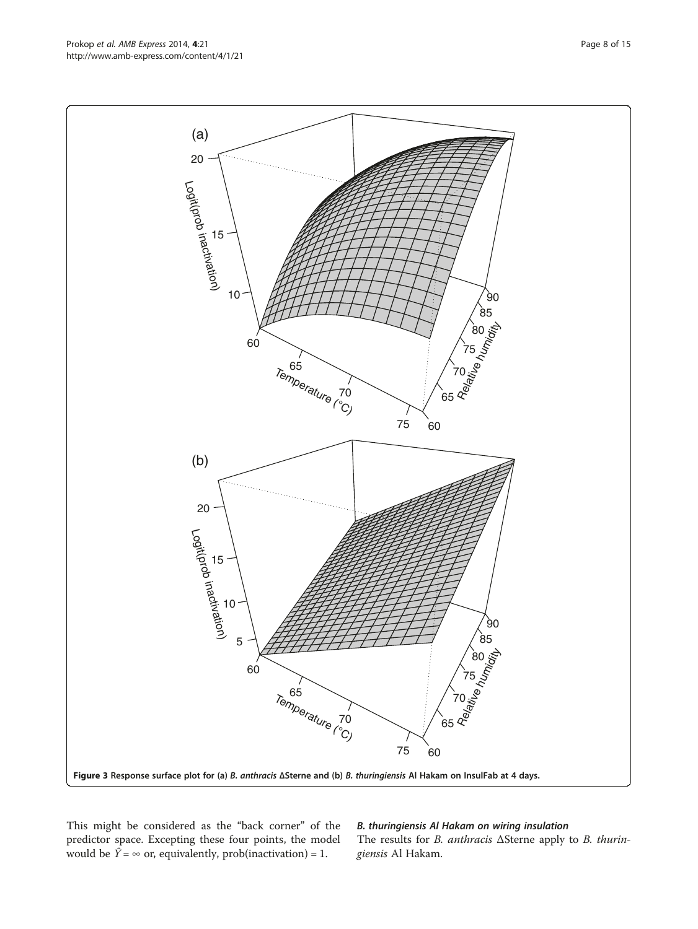This might be considered as the "back corner" of the predictor space. Excepting these four points, the model would be  $\hat{Y} = \infty$  or, equivalently, prob(inactivation) = 1.

## B. thuringiensis Al Hakam on wiring insulation

The results for B. anthracis ΔSterne apply to B. thuringiensis Al Hakam.

<span id="page-7-0"></span>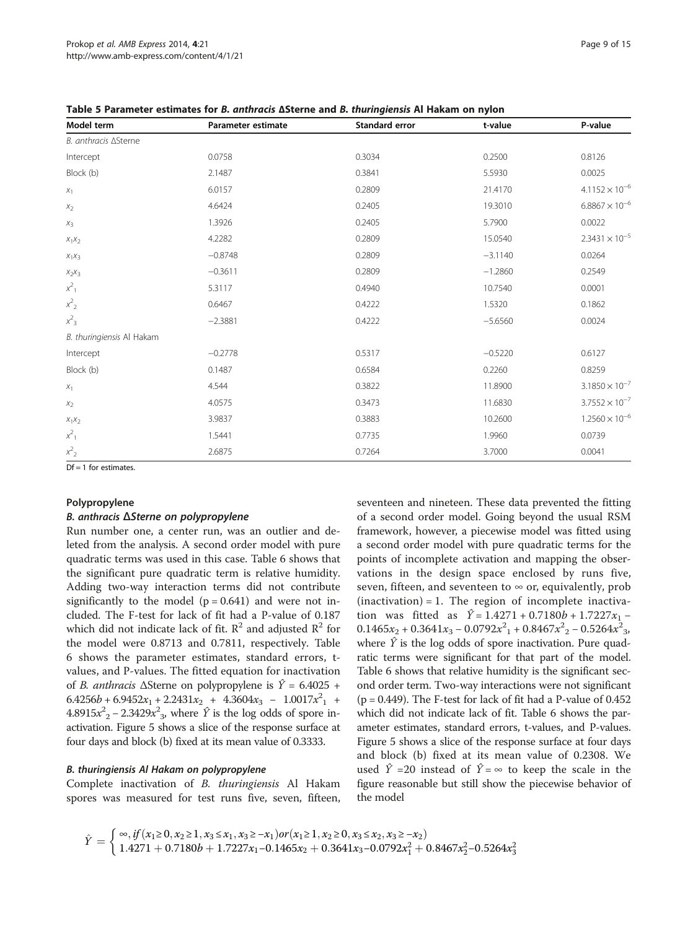| Model term                | Parameter estimate | Standard error | t-value   | P-value                 |
|---------------------------|--------------------|----------------|-----------|-------------------------|
| B. anthracis ASterne      |                    |                |           |                         |
| Intercept                 | 0.0758             | 0.3034         | 0.2500    | 0.8126                  |
| Block (b)                 | 2.1487             | 0.3841         | 5.5930    | 0.0025                  |
| $X_1$                     | 6.0157             | 0.2809         | 21,4170   | $4.1152 \times 10^{-6}$ |
| $X_2$                     | 4.6424             | 0.2405         | 19.3010   | $6.8867 \times 10^{-6}$ |
| $X_3$                     | 1.3926             | 0.2405         | 5.7900    | 0.0022                  |
| $X_1X_2$                  | 4.2282             | 0.2809         | 15.0540   | $2.3431 \times 10^{-5}$ |
| $X_1X_3$                  | $-0.8748$          | 0.2809         | $-3.1140$ | 0.0264                  |
| $X_2X_3$                  | $-0.3611$          | 0.2809         | $-1.2860$ | 0.2549                  |
| $x^2$ <sub>1</sub>        | 5.3117             | 0.4940         | 10.7540   | 0.0001                  |
| $x^2$ <sub>2</sub>        | 0.6467             | 0.4222         | 1.5320    | 0.1862                  |
| $x^2$ <sub>3</sub>        | $-2.3881$          | 0.4222         | $-5.6560$ | 0.0024                  |
| B. thuringiensis Al Hakam |                    |                |           |                         |
| Intercept                 | $-0.2778$          | 0.5317         | $-0.5220$ | 0.6127                  |
| Block (b)                 | 0.1487             | 0.6584         | 0.2260    | 0.8259                  |
| $X_1$                     | 4.544              | 0.3822         | 11.8900   | $3.1850 \times 10^{-7}$ |
| $X_2$                     | 4.0575             | 0.3473         | 11.6830   | $3.7552 \times 10^{-7}$ |
| $X_1X_2$                  | 3.9837             | 0.3883         | 10.2600   | $1.2560 \times 10^{-6}$ |
| $x^2$ <sub>1</sub>        | 1.5441             | 0.7735         | 1.9960    | 0.0739                  |
| $x^2$ <sub>2</sub>        | 2.6875             | 0.7264         | 3.7000    | 0.0041                  |

<span id="page-8-0"></span>ttimates for *B. anthracis* ΛSterne and *B. thuringiensis* Δl Hakam on nylon

 $\overline{Df} = 1$  for estimates.

#### Polypropylene

#### B. anthracis ΔSterne on polypropylene

Run number one, a center run, was an outlier and deleted from the analysis. A second order model with pure quadratic terms was used in this case. Table [6](#page-10-0) shows that the significant pure quadratic term is relative humidity. Adding two-way interaction terms did not contribute significantly to the model  $(p = 0.641)$  and were not included. The F-test for lack of fit had a P-value of 0.187 which did not indicate lack of fit.  $\mathbb{R}^2$  and adjusted  $\mathbb{R}^2$  for the model were 0.8713 and 0.7811, respectively. Table [6](#page-10-0) shows the parameter estimates, standard errors, tvalues, and P-values. The fitted equation for inactivation of *B. anthracis*  $\triangle$ Sterne on polypropylene is  $\hat{Y} = 6.4025 +$  $6.4256b + 6.9452x_1 + 2.2431x_2 + 4.3604x_3 - 1.0017x_1^2$  $4.8915x<sup>2</sup>$ <sub>2</sub> – 2.3429 $x<sup>2</sup>$ <sub>3</sub>, where  $\hat{Y}$  is the log odds of spore inactivation. Figure [5](#page-11-0) shows a slice of the response surface at four days and block (b) fixed at its mean value of 0.3333.

#### B. thuringiensis Al Hakam on polypropylene

Complete inactivation of B. thuringiensis Al Hakam spores was measured for test runs five, seven, fifteen, seventeen and nineteen. These data prevented the fitting of a second order model. Going beyond the usual RSM framework, however, a piecewise model was fitted using a second order model with pure quadratic terms for the points of incomplete activation and mapping the observations in the design space enclosed by runs five, seven, fifteen, and seventeen to  $\infty$  or, equivalently, prob  $(inactivation) = 1$ . The region of incomplete inactivation was fitted as  $\hat{Y} = 1.4271 + 0.7180b + 1.7227x_1$  –  $0.1465x_2 + 0.3641x_3 - 0.0792x_1^2 + 0.8467x_2^2 - 0.5264x_3^2$ where  $\hat{Y}$  is the log odds of spore inactivation. Pure quadratic terms were significant for that part of the model. Table [6](#page-10-0) shows that relative humidity is the significant second order term. Two-way interactions were not significant  $(p = 0.449)$ . The F-test for lack of fit had a P-value of  $0.452$ which did not indicate lack of fit. Table [6](#page-10-0) shows the parameter estimates, standard errors, t-values, and P-values. Figure [5](#page-11-0) shows a slice of the response surface at four days and block (b) fixed at its mean value of 0.2308. We used  $\hat{Y}$  =20 instead of  $\hat{Y} = \infty$  to keep the scale in the figure reasonable but still show the piecewise behavior of the model

$$
\hat{Y} = \begin{cases} \infty, if (x_1 \ge 0, x_2 \ge 1, x_3 \le x_1, x_3 \ge -x_1) or (x_1 \ge 1, x_2 \ge 0, x_3 \le x_2, x_3 \ge -x_2) \\ 1.4271 + 0.7180b + 1.7227x_1 - 0.1465x_2 + 0.3641x_3 - 0.0792x_1^2 + 0.8467x_2^2 - 0.5264x_3^2 \end{cases}
$$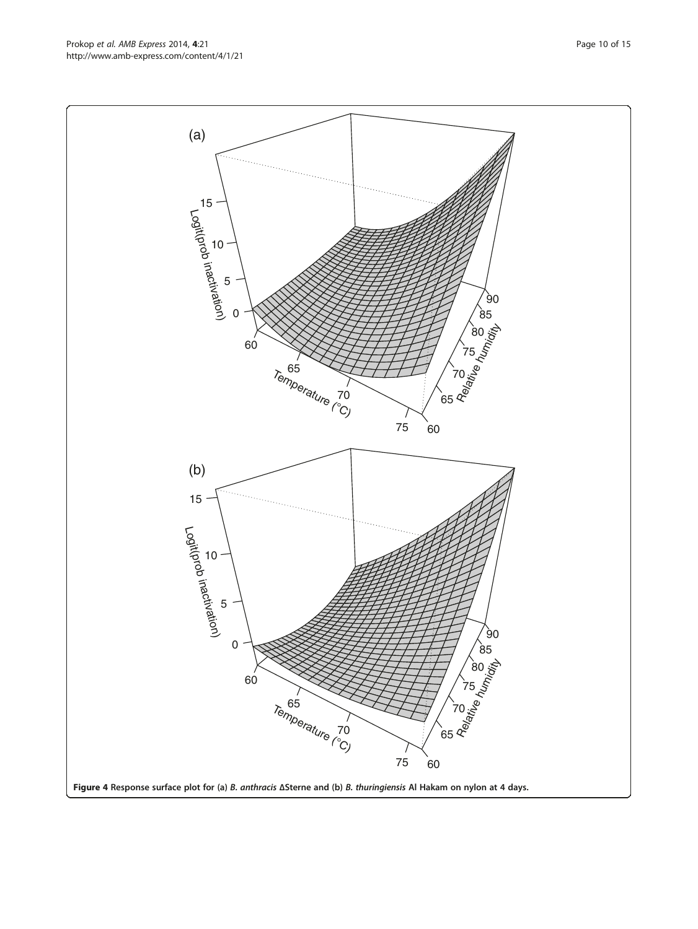<span id="page-9-0"></span>http://www.amb-express.com/content/4/1/21

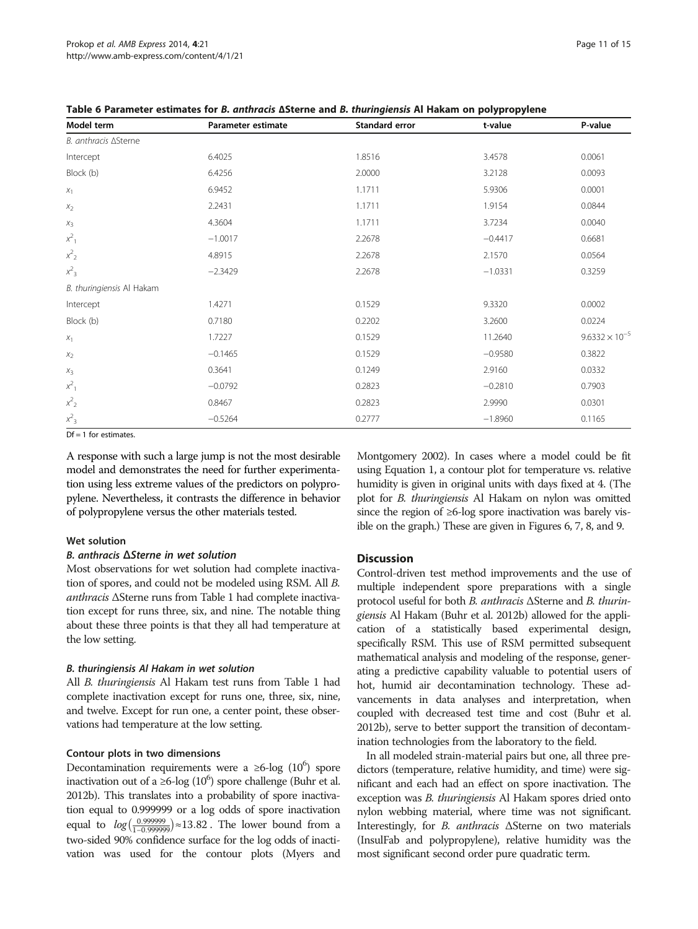| Model term                | Parameter estimate | Standard error | t-value   | P-value                 |
|---------------------------|--------------------|----------------|-----------|-------------------------|
| B. anthracis ASterne      |                    |                |           |                         |
| Intercept                 | 6.4025             | 1.8516         | 3.4578    | 0.0061                  |
| Block (b)                 | 6.4256             | 2.0000         | 3.2128    | 0.0093                  |
| $X_1$                     | 6.9452             | 1.1711         | 5.9306    | 0.0001                  |
| $X_2$                     | 2.2431             | 1.1711         | 1.9154    | 0.0844                  |
| $X_3$                     | 4.3604             | 1.1711         | 3.7234    | 0.0040                  |
| $x^2$ <sub>1</sub>        | $-1.0017$          | 2.2678         | $-0.4417$ | 0.6681                  |
| $x^2$ 2                   | 4.8915             | 2.2678         | 2.1570    | 0.0564                  |
| $x^2$ <sub>3</sub>        | $-2.3429$          | 2.2678         | $-1.0331$ | 0.3259                  |
| B. thuringiensis Al Hakam |                    |                |           |                         |
| Intercept                 | 1.4271             | 0.1529         | 9.3320    | 0.0002                  |
| Block (b)                 | 0.7180             | 0.2202         | 3.2600    | 0.0224                  |
| $X_1$                     | 1.7227             | 0.1529         | 11.2640   | $9.6332 \times 10^{-5}$ |
| $\mathit{X}_2$            | $-0.1465$          | 0.1529         | $-0.9580$ | 0.3822                  |
| $X_3$                     | 0.3641             | 0.1249         | 2.9160    | 0.0332                  |
| $x^2$ <sub>1</sub>        | $-0.0792$          | 0.2823         | $-0.2810$ | 0.7903                  |
| $x^2$                     | 0.8467             | 0.2823         | 2.9990    | 0.0301                  |
| $x^2$ <sub>3</sub>        | $-0.5264$          | 0.2777         | $-1.8960$ | 0.1165                  |
|                           |                    |                |           |                         |

<span id="page-10-0"></span>Table 6 Parameter estimates for B. anthracis <sup>Δ</sup>Sterne and B. thuringiensis Al Hakam on polypropylene

 $\overline{DF} = 1$  for estimates.

A response with such a large jump is not the most desirable model and demonstrates the need for further experimentation using less extreme values of the predictors on polypropylene. Nevertheless, it contrasts the difference in behavior of polypropylene versus the other materials tested.

#### Wet solution

#### B. anthracis ΔSterne in wet solution

Most observations for wet solution had complete inactivation of spores, and could not be modeled using RSM. All B. anthracis ΔSterne runs from Table [1](#page-2-0) had complete inactivation except for runs three, six, and nine. The notable thing about these three points is that they all had temperature at the low setting.

#### B. thuringiensis Al Hakam in wet solution

All B. thuringiensis Al Hakam test runs from Table [1](#page-2-0) had complete inactivation except for runs one, three, six, nine, and twelve. Except for run one, a center point, these observations had temperature at the low setting.

#### Contour plots in two dimensions

Decontamination requirements were a ≥6-log  $(10^6)$  spore inactivation out of a ≥6- $\log(10^6)$  spore challenge (Buhr et al. [2012b](#page-14-0)). This translates into a probability of spore inactivation equal to 0.999999 or a log odds of spore inactivation equal to  $log(\frac{0.999999}{1-0.999999})$ ≈13.82. The lower bound from a two-sided 90% confidence surface for the log odds of inactivation was used for the contour plots (Myers and

Montgomery [2002\)](#page-14-0). In cases where a model could be fit using Equation [1,](#page-2-0) a contour plot for temperature vs. relative humidity is given in original units with days fixed at 4. (The plot for B. thuringiensis Al Hakam on nylon was omitted since the region of ≥6-log spore inactivation was barely visible on the graph.) These are given in Figures [6](#page-12-0), [7](#page-12-0), [8,](#page-13-0) and [9.](#page-13-0)

## Discussion

Control-driven test method improvements and the use of multiple independent spore preparations with a single protocol useful for both B. anthracis ΔSterne and B. thuringiensis Al Hakam (Buhr et al. [2012b\)](#page-14-0) allowed for the application of a statistically based experimental design, specifically RSM. This use of RSM permitted subsequent mathematical analysis and modeling of the response, generating a predictive capability valuable to potential users of hot, humid air decontamination technology. These advancements in data analyses and interpretation, when coupled with decreased test time and cost (Buhr et al. [2012b\)](#page-14-0), serve to better support the transition of decontamination technologies from the laboratory to the field.

In all modeled strain-material pairs but one, all three predictors (temperature, relative humidity, and time) were significant and each had an effect on spore inactivation. The exception was *B. thuringiensis* Al Hakam spores dried onto nylon webbing material, where time was not significant. Interestingly, for B. anthracis ΔSterne on two materials (InsulFab and polypropylene), relative humidity was the most significant second order pure quadratic term.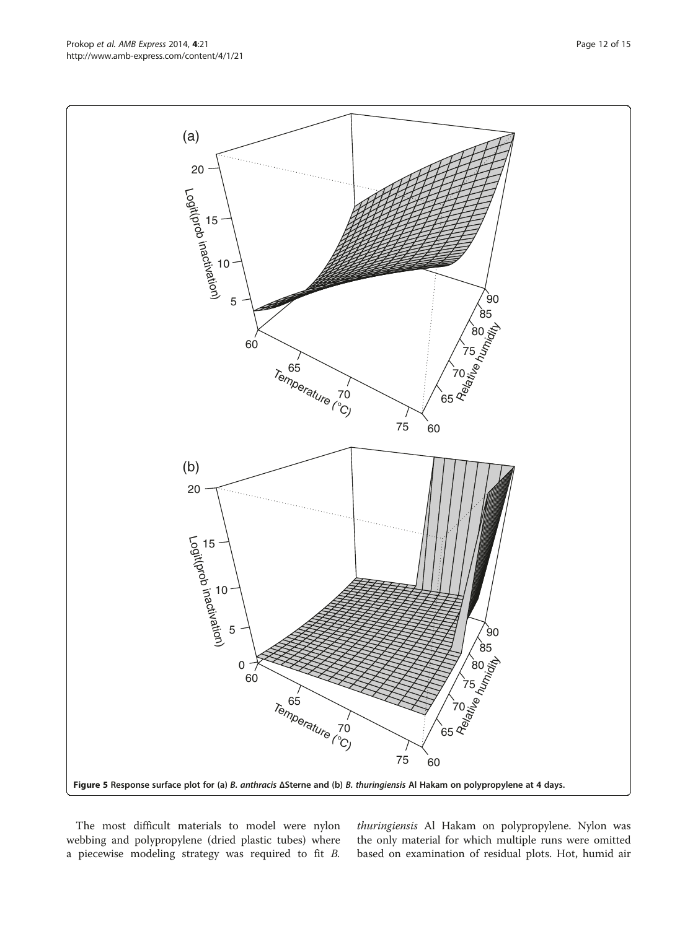The most difficult materials to model were nylon webbing and polypropylene (dried plastic tubes) where a piecewise modeling strategy was required to fit B.

thuringiensis Al Hakam on polypropylene. Nylon was the only material for which multiple runs were omitted based on examination of residual plots. Hot, humid air

<span id="page-11-0"></span>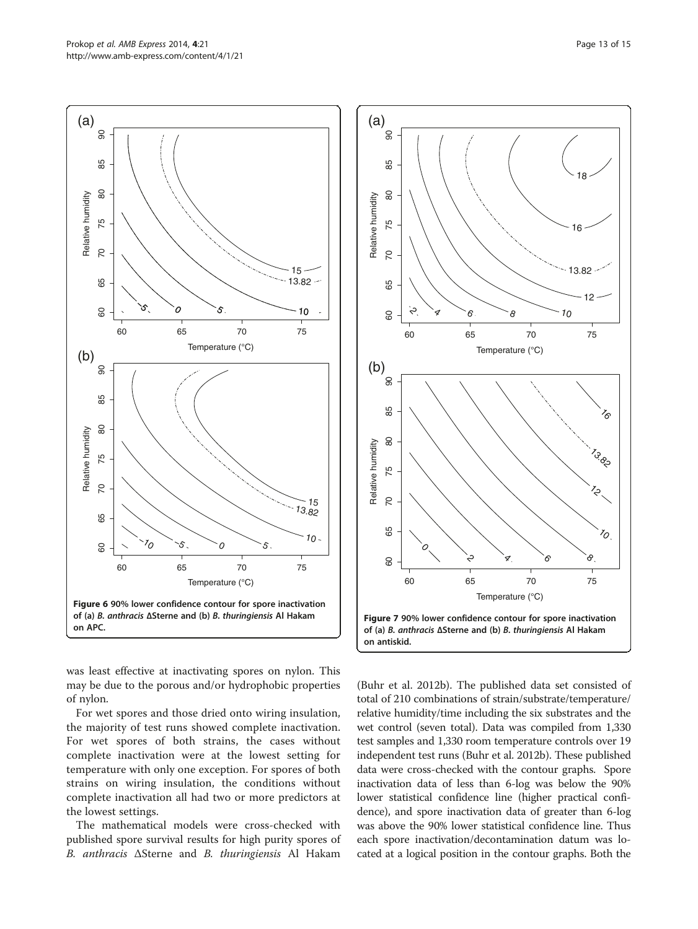<span id="page-12-0"></span>

was least effective at inactivating spores on nylon. This may be due to the porous and/or hydrophobic properties of nylon.

For wet spores and those dried onto wiring insulation, the majority of test runs showed complete inactivation. For wet spores of both strains, the cases without complete inactivation were at the lowest setting for temperature with only one exception. For spores of both strains on wiring insulation, the conditions without complete inactivation all had two or more predictors at the lowest settings.

The mathematical models were cross-checked with published spore survival results for high purity spores of B. anthracis ΔSterne and B. thuringiensis Al Hakam



(Buhr et al. [2012b\)](#page-14-0). The published data set consisted of total of 210 combinations of strain/substrate/temperature/ relative humidity/time including the six substrates and the wet control (seven total). Data was compiled from 1,330 test samples and 1,330 room temperature controls over 19 independent test runs (Buhr et al. [2012b\)](#page-14-0). These published data were cross-checked with the contour graphs. Spore inactivation data of less than 6-log was below the 90% lower statistical confidence line (higher practical confidence), and spore inactivation data of greater than 6-log was above the 90% lower statistical confidence line. Thus each spore inactivation/decontamination datum was located at a logical position in the contour graphs. Both the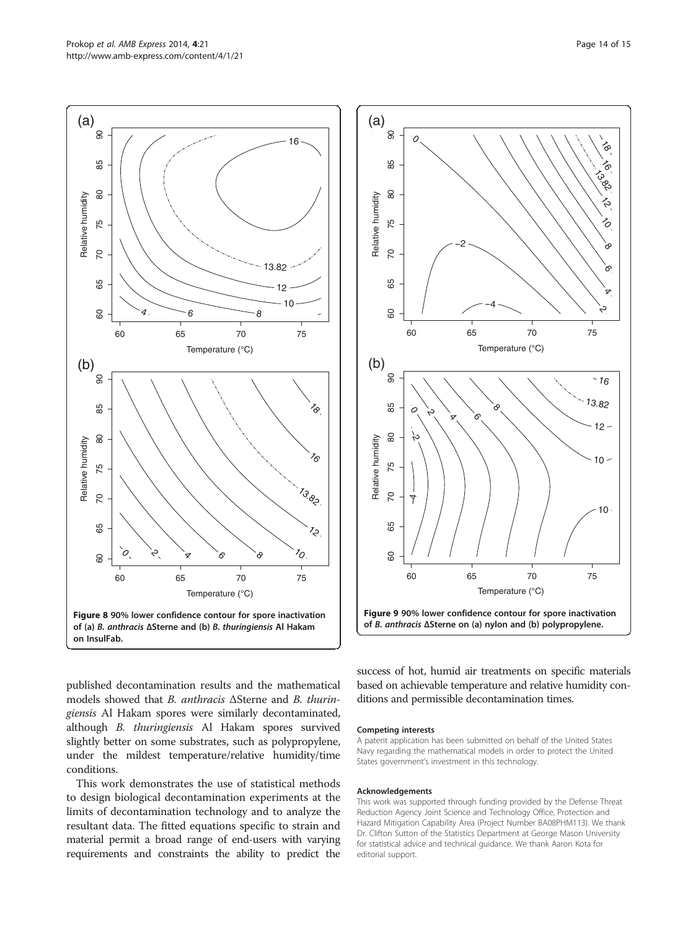published decontamination results and the mathematical models showed that B. anthracis ΔSterne and B. thuringiensis Al Hakam spores were similarly decontaminated, although B. thuringiensis Al Hakam spores survived slightly better on some substrates, such as polypropylene, under the mildest temperature/relative humidity/time

conditions.

This work demonstrates the use of statistical methods to design biological decontamination experiments at the limits of decontamination technology and to analyze the resultant data. The fitted equations specific to strain and material permit a broad range of end-users with varying requirements and constraints the ability to predict the

success of hot, humid air treatments on specific materials based on achievable temperature and relative humidity conditions and permissible decontamination times.

#### Competing interests

A patent application has been submitted on behalf of the United States Navy regarding the mathematical models in order to protect the United States government's investment in this technology.

#### Acknowledgements

This work was supported through funding provided by the Defense Threat Reduction Agency Joint Science and Technology Office, Protection and Hazard Mitigation Capability Area (Project Number BA08PHM113). We thank Dr. Clifton Sutton of the Statistics Department at George Mason University for statistical advice and technical guidance. We thank Aaron Kota for editorial support.

<span id="page-13-0"></span>